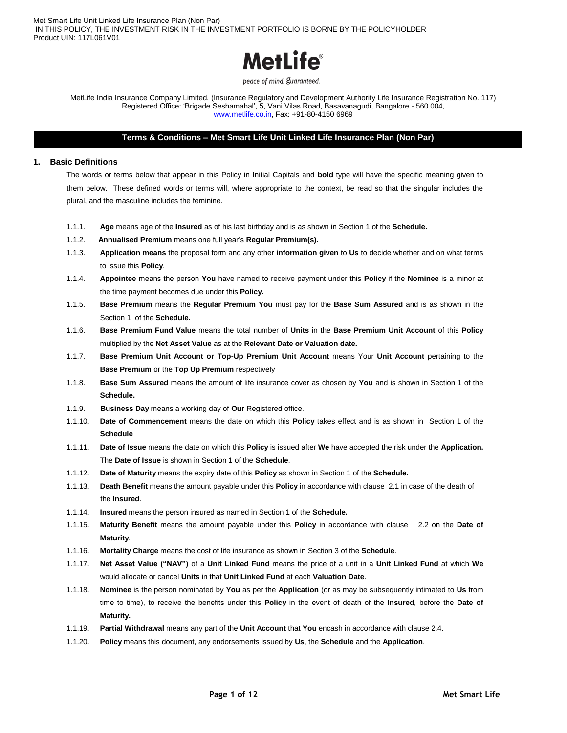

peace of mind. guaranteed.

MetLife India Insurance Company Limited. (Insurance Regulatory and Development Authority Life Insurance Registration No. 117) Registered Office: 'Brigade Seshamahal', 5, Vani Vilas Road, Basavanagudi, Bangalore - 560 004, www.metlife.co.in, Fax: +91-80-4150 6969

# **Terms & Conditions – Met Smart Life Unit Linked Life Insurance Plan (Non Par)**

## **1. Basic Definitions**

The words or terms below that appear in this Policy in Initial Capitals and **bold** type will have the specific meaning given to them below. These defined words or terms will, where appropriate to the context, be read so that the singular includes the plural, and the masculine includes the feminine.

- 1.1.1. **Age** means age of the **Insured** as of his last birthday and is as shown in Section 1 of the **Schedule.**
- 1.1.2. **Annualised Premium** means one full year's **Regular Premium(s).**
- 1.1.3. **Application means** the proposal form and any other **information given** to **Us** to decide whether and on what terms to issue this **Policy**.
- 1.1.4. **Appointee** means the person **You** have named to receive payment under this **Policy** if the **Nominee** is a minor at the time payment becomes due under this **Policy.**
- 1.1.5. **Base Premium** means the **Regular Premium You** must pay for the **Base Sum Assured** and is as shown in the Section 1 of the **Schedule.**
- 1.1.6. **Base Premium Fund Value** means the total number of **Units** in the **Base Premium Unit Account** of this **Policy**  multiplied by the **Net Asset Value** as at the **Relevant Date or Valuation date.**
- 1.1.7. **Base Premium Unit Account or Top-Up Premium Unit Account** means Your **Unit Account** pertaining to the **Base Premium** or the **Top Up Premium** respectively
- 1.1.8. **Base Sum Assured** means the amount of life insurance cover as chosen by **You** and is shown in Section 1 of the **Schedule.**
- 1.1.9. **Business Day** means a working day of **Our** Registered office.
- 1.1.10. **Date of Commencement** means the date on which this **Policy** takes effect and is as shown in Section 1 of the **Schedule**
- 1.1.11. **Date of Issue** means the date on which this **Policy** is issued after **We** have accepted the risk under the **Application.**  The **Date of Issue** is shown in Section 1 of the **Schedule**.
- 1.1.12. **Date of Maturity** means the expiry date of this **Policy** as shown in Section 1 of the **Schedule.**
- 1.1.13. **Death Benefit** means the amount payable under this **Policy** in accordance with clause 2.1 in case of the death of the **Insured**.
- 1.1.14. **Insured** means the person insured as named in Section 1 of the **Schedule.**
- 1.1.15. **Maturity Benefit** means the amount payable under this **Policy** in accordance with clause 2.2 on the **Date of Maturity**.
- 1.1.16. **Mortality Charge** means the cost of life insurance as shown in Section 3 of the **Schedule**.
- 1.1.17. **Net Asset Value ("NAV")** of a **Unit Linked Fund** means the price of a unit in a **Unit Linked Fund** at which **We** would allocate or cancel **Units** in that **Unit Linked Fund** at each **Valuation Date**.
- 1.1.18. **Nominee** is the person nominated by **You** as per the **Application** (or as may be subsequently intimated to **Us** from time to time), to receive the benefits under this **Policy** in the event of death of the **Insured**, before the **Date of Maturity.**
- 1.1.19. **Partial Withdrawal** means any part of the **Unit Account** that **You** encash in accordance with clause 2.4.
- 1.1.20. **Policy** means this document, any endorsements issued by **Us**, the **Schedule** and the **Application**.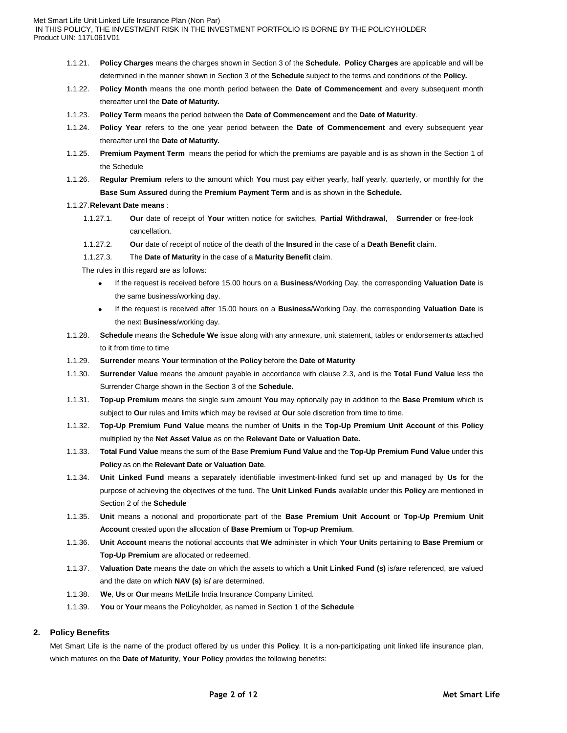- 1.1.21. **Policy Charges** means the charges shown in Section 3 of the **Schedule. Policy Charges** are applicable and will be determined in the manner shown in Section 3 of the **Schedule** subject to the terms and conditions of the **Policy.**
- 1.1.22. **Policy Month** means the one month period between the **Date of Commencement** and every subsequent month thereafter until the **Date of Maturity.**
- 1.1.23. **Policy Term** means the period between the **Date of Commencement** and the **Date of Maturity**.
- 1.1.24. **Policy Year** refers to the one year period between the **Date of Commencement** and every subsequent year thereafter until the **Date of Maturity.**
- 1.1.25. **Premium Payment Term** means the period for which the premiums are payable and is as shown in the Section 1 of the Schedule
- 1.1.26. **Regular Premium** refers to the amount which **You** must pay either yearly, half yearly, quarterly, or monthly for the **Base Sum Assured** during the **Premium Payment Term** and is as shown in the **Schedule.**

#### 1.1.27.**Relevant Date means** :

- 1.1.27.1. **Our** date of receipt of **Your** written notice for switches, **Partial Withdrawal**, **Surrender** or free-look cancellation.
- 1.1.27.2. **Our** date of receipt of notice of the death of the **Insured** in the case of a **Death Benefit** claim.
- 1.1.27.3. The **Date of Maturity** in the case of a **Maturity Benefit** claim.

The rules in this regard are as follows:

- If the request is received before 15.00 hours on a **Business**/Working Day, the corresponding **Valuation Date** is the same business/working day.
- If the request is received after 15.00 hours on a **Business**/Working Day, the corresponding **Valuation Date** is the next **Business**/working day.
- 1.1.28. **Schedule** means the **Schedule We** issue along with any annexure, unit statement, tables or endorsements attached to it from time to time
- 1.1.29. **Surrender** means **Your** termination of the **Policy** before the **Date of Maturity**
- 1.1.30. **Surrender Value** means the amount payable in accordance with clause 2.3, and is the **Total Fund Value** less the Surrender Charge shown in the Section 3 of the **Schedule.**
- 1.1.31. **Top-up Premium** means the single sum amount **You** may optionally pay in addition to the **Base Premium** which is subject to **Our** rules and limits which may be revised at **Our** sole discretion from time to time.
- 1.1.32. **Top-Up Premium Fund Value** means the number of **Units** in the **Top-Up Premium Unit Account** of this **Policy** multiplied by the **Net Asset Value** as on the **Relevant Date or Valuation Date.**
- 1.1.33. **Total Fund Value** means the sum of the Base **Premium Fund Value** and the **Top-Up Premium Fund Value** under this **Policy** as on the **Relevant Date or Valuation Date**.
- 1.1.34. **Unit Linked Fund** means a separately identifiable investment-linked fund set up and managed by **Us** for the purpose of achieving the objectives of the fund. The **Unit Linked Funds** available under this **Policy** are mentioned in Section 2 of the **Schedule**
- 1.1.35. **Unit** means a notional and proportionate part of the **Base Premium Unit Account** or **Top-Up Premium Unit Account** created upon the allocation of **Base Premium** or **Top-up Premium**.
- 1.1.36. **Unit Account** means the notional accounts that **We** administer in which **Your Unit**s pertaining to **Base Premium** or **Top-Up Premium** are allocated or redeemed.
- 1.1.37. **Valuation Date** means the date on which the assets to which a **Unit Linked Fund (s)** is/are referenced, are valued and the date on which **NAV (s)** is**/** are determined.
- 1.1.38. **We**, **Us** or **Our** means MetLife India Insurance Company Limited.
- 1.1.39. **You** or **Your** means the Policyholder, as named in Section 1 of the **Schedule**

## **2. Policy Benefits**

Met Smart Life is the name of the product offered by us under this **Policy**. It is a non-participating unit linked life insurance plan, which matures on the **Date of Maturity**, **Your Policy** provides the following benefits: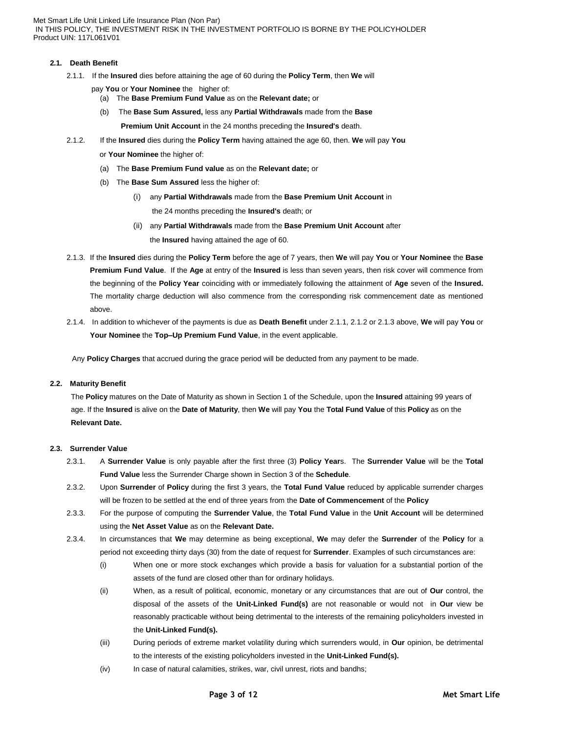## **2.1. Death Benefit**

- 2.1.1. If the **Insured** dies before attaining the age of 60 during the **Policy Term**, then **We** will
	- pay **You** or **Your Nominee** the higher of:
		- (a) The **Base Premium Fund Value** as on the **Relevant date;** or
		- (b) The **Base Sum Assured,** less any **Partial Withdrawals** made from the **Base**

**Premium Unit Account** in the 24 months preceding the **Insured's** death.

2.1.2. If the **Insured** dies during the **Policy Term** having attained the age 60, then. **We** will pay **You** 

or **Your Nominee** the higher of:

- (a) The **Base Premium Fund value** as on the **Relevant date;** or
- (b) The **Base Sum Assured** less the higher of:
	- (i) any **Partial Withdrawals** made from the **Base Premium Unit Account** in the 24 months preceding the **Insured's** death; or
	- (ii) any **Partial Withdrawals** made from the **Base Premium Unit Account** after the **Insured** having attained the age of 60.
- 2.1.3. If the **Insured** dies during the **Policy Term** before the age of 7 years, then **We** will pay **You** or **Your Nominee** the **Base Premium Fund Value**. If the **Age** at entry of the **Insured** is less than seven years, then risk cover will commence from the beginning of the **Policy Year** coinciding with or immediately following the attainment of **Age** seven of the **Insured.** The mortality charge deduction will also commence from the corresponding risk commencement date as mentioned above.
- 2.1.4. In addition to whichever of the payments is due as **Death Benefit** under 2.1.1, 2.1.2 or 2.1.3 above, **We** will pay **You** or **Your Nominee** the **Top–Up Premium Fund Value**, in the event applicable.

Any **Policy Charges** that accrued during the grace period will be deducted from any payment to be made.

## **2.2. Maturity Benefit**

 The **Policy** matures on the Date of Maturity as shown in Section 1 of the Schedule, upon the **Insured** attaining 99 years of age. If the **Insured** is alive on the **Date of Maturity**, then **We** will pay **You** the **Total Fund Value** of this **Policy** as on the **Relevant Date.** 

## **2.3. Surrender Value**

- 2.3.1. A **Surrender Value** is only payable after the first three (3) **Policy Year**s. The **Surrender Value** will be the **Total Fund Value** less the Surrender Charge shown in Section 3 of the **Schedule**.
- 2.3.2. Upon **Surrender** of **Policy** during the first 3 years, the **Total Fund Value** reduced by applicable surrender charges will be frozen to be settled at the end of three years from the **Date of Commencement** of the **Policy**
- 2.3.3. For the purpose of computing the **Surrender Value**, the **Total Fund Value** in the **Unit Account** will be determined using the **Net Asset Value** as on the **Relevant Date.**
- 2.3.4. In circumstances that **We** may determine as being exceptional, **We** may defer the **Surrender** of the **Policy** for a period not exceeding thirty days (30) from the date of request for **Surrender**. Examples of such circumstances are:
	- (i) When one or more stock exchanges which provide a basis for valuation for a substantial portion of the assets of the fund are closed other than for ordinary holidays.
	- (ii) When, as a result of political, economic, monetary or any circumstances that are out of **Our** control, the disposal of the assets of the **Unit-Linked Fund(s)** are not reasonable or would not in **Our** view be reasonably practicable without being detrimental to the interests of the remaining policyholders invested in the **Unit-Linked Fund(s).**
	- (iii) During periods of extreme market volatility during which surrenders would, in **Our** opinion, be detrimental to the interests of the existing policyholders invested in the **Unit-Linked Fund(s).**
	- (iv) In case of natural calamities, strikes, war, civil unrest, riots and bandhs;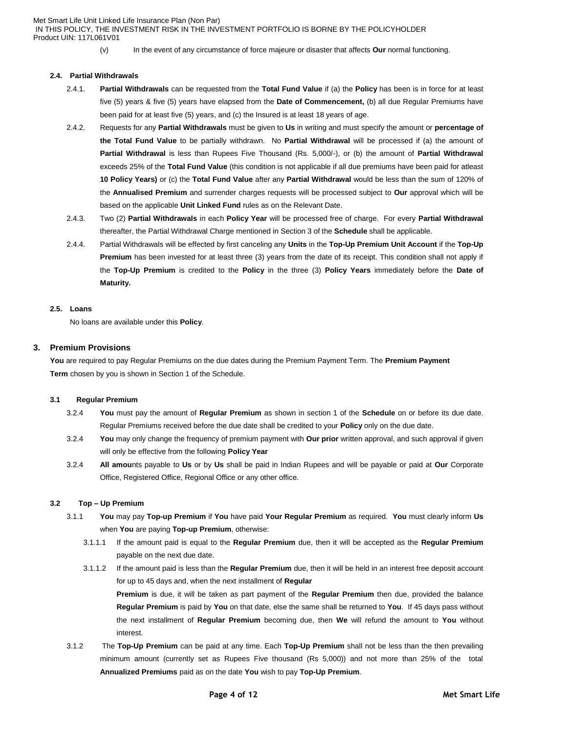- - (v) In the event of any circumstance of force majeure or disaster that affects **Our** normal functioning.

#### **2.4. Partial Withdrawals**

- 2.4.1. **Partial Withdrawals** can be requested from the **Total Fund Value** if (a) the **Policy** has been is in force for at least five (5) years & five (5) years have elapsed from the **Date of Commencement,** (b) all due Regular Premiums have been paid for at least five (5) years, and (c) the Insured is at least 18 years of age.
- 2.4.2. Requests for any **Partial Withdrawals** must be given to **Us** in writing and must specify the amount or **percentage of the Total Fund Value** to be partially withdrawn. No **Partial Withdrawal** will be processed if (a) the amount of **Partial Withdrawal** is less than Rupees Five Thousand (Rs. 5,000/-), or (b) the amount of **Partial Withdrawal** exceeds 25% of the **Total Fund Value** (this condition is not applicable if all due premiums have been paid for atleast **10 Policy Years)** or (c) the **Total Fund Value** after any **Partial Withdrawal** would be less than the sum of 120% of the **Annualised Premium** and surrender charges requests will be processed subject to **Our** approval which will be based on the applicable **Unit Linked Fund** rules as on the Relevant Date.
- 2.4.3. Two (2) **Partial Withdrawals** in each **Policy Year** will be processed free of charge. For every **Partial Withdrawal** thereafter, the Partial Withdrawal Charge mentioned in Section 3 of the **Schedule** shall be applicable.
- 2.4.4. Partial Withdrawals will be effected by first canceling any **Units** in the **Top-Up Premium Unit Account** if the **Top-Up Premium** has been invested for at least three (3) years from the date of its receipt. This condition shall not apply if the **Top-Up Premium** is credited to the **Policy** in the three (3) **Policy Years** immediately before the **Date of Maturity.**

# **2.5. Loans**

No loans are available under this **Policy**.

#### **3. Premium Provisions**

**You** are required to pay Regular Premiums on the due dates during the Premium Payment Term. The **Premium Payment Term** chosen by you is shown in Section 1 of the Schedule.

#### **3.1 Regular Premium**

- 3.2.4 **You** must pay the amount of **Regular Premium** as shown in section 1 of the **Schedule** on or before its due date. Regular Premiums received before the due date shall be credited to your **Policy** only on the due date.
- 3.2.4 **You** may only change the frequency of premium payment with **Our prior** written approval, and such approval if given will only be effective from the following **Policy Year**
- 3.2.4 **All amou**nts payable to **Us** or by **Us** shall be paid in Indian Rupees and will be payable or paid at **Our** Corporate Office, Registered Office, Regional Office or any other office.

## **3.2 Top – Up Premium**

- 3.1.1 **You** may pay **Top-up Premium** if **You** have paid **Your Regular Premium** as required. **You** must clearly inform **Us**  when **You** are paying **Top-up Premium**, otherwise:
	- 3.1.1.1 If the amount paid is equal to the **Regular Premium** due, then it will be accepted as the **Regular Premium** payable on the next due date.
	- 3.1.1.2 If the amount paid is less than the **Regular Premium** due, then it will be held in an interest free deposit account for up to 45 days and, when the next installment of **Regular**

**Premium** is due, it will be taken as part payment of the **Regular Premium** then due, provided the balance **Regular Premium** is paid by **You** on that date, else the same shall be returned to **You**. If 45 days pass without the next installment of **Regular Premium** becoming due, then **We** will refund the amount to **You** without interest.

3.1.2 The **Top-Up Premium** can be paid at any time. Each **Top-Up Premium** shall not be less than the then prevailing minimum amount (currently set as Rupees Five thousand (Rs 5,000)) and not more than 25% of the total **Annualized Premiums** paid as on the date **You** wish to pay **Top-Up Premium**.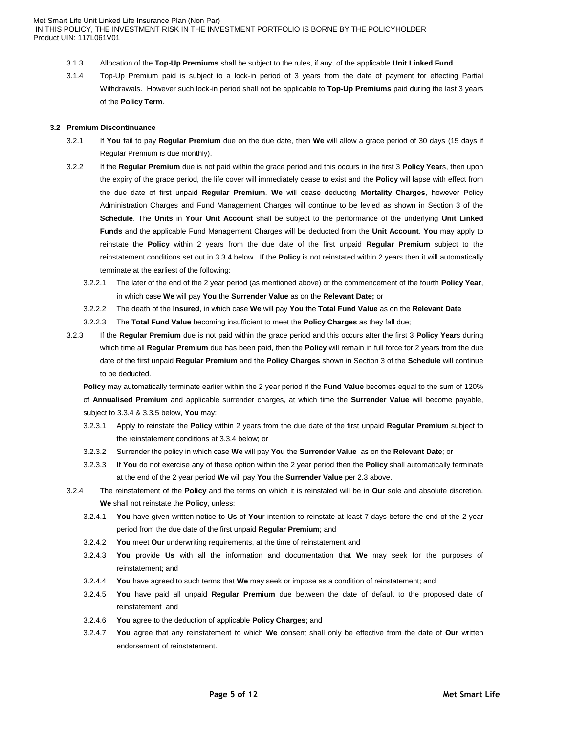- 3.1.3 Allocation of the **Top-Up Premiums** shall be subject to the rules, if any, of the applicable **Unit Linked Fund**.
- 3.1.4 Top-Up Premium paid is subject to a lock-in period of 3 years from the date of payment for effecting Partial Withdrawals. However such lock-in period shall not be applicable to **Top-Up Premiums** paid during the last 3 years of the **Policy Term**.

## **3.2 Premium Discontinuance**

- 3.2.1 If **You** fail to pay **Regular Premium** due on the due date, then **We** will allow a grace period of 30 days (15 days if Regular Premium is due monthly).
- 3.2.2 If the **Regular Premium** due is not paid within the grace period and this occurs in the first 3 **Policy Year**s, then upon the expiry of the grace period, the life cover will immediately cease to exist and the **Policy** will lapse with effect from the due date of first unpaid **Regular Premium**. **We** will cease deducting **Mortality Charges**, however Policy Administration Charges and Fund Management Charges will continue to be levied as shown in Section 3 of the **Schedule**. The **Units** in **Your Unit Account** shall be subject to the performance of the underlying **Unit Linked Funds** and the applicable Fund Management Charges will be deducted from the **Unit Account**. **You** may apply to reinstate the **Policy** within 2 years from the due date of the first unpaid **Regular Premium** subject to the reinstatement conditions set out in 3.3.4 below. If the **Policy** is not reinstated within 2 years then it will automatically terminate at the earliest of the following:
	- 3.2.2.1 The later of the end of the 2 year period (as mentioned above) or the commencement of the fourth **Policy Year**, in which case **We** will pay **You** the **Surrender Value** as on the **Relevant Date;** or
	- 3.2.2.2 The death of the **Insured**, in which case **We** will pay **You** the **Total Fund Value** as on the **Relevant Date**
	- 3.2.2.3 The **Total Fund Value** becoming insufficient to meet the **Policy Charges** as they fall due;
- 3.2.3 If the **Regular Premium** due is not paid within the grace period and this occurs after the first 3 **Policy Year**s during which time all **Regular Premium** due has been paid, then the **Policy** will remain in full force for 2 years from the due date of the first unpaid **Regular Premium** and the **Policy Charges** shown in Section 3 of the **Schedule** will continue to be deducted.

**Policy** may automatically terminate earlier within the 2 year period if the **Fund Value** becomes equal to the sum of 120% of **Annualised Premium** and applicable surrender charges, at which time the **Surrender Value** will become payable, subject to 3.3.4 & 3.3.5 below, **You** may:

- 3.2.3.1 Apply to reinstate the **Policy** within 2 years from the due date of the first unpaid **Regular Premium** subject to the reinstatement conditions at 3.3.4 below; or
- 3.2.3.2 Surrender the policy in which case **We** will pay **You** the **Surrender Value** as on the **Relevant Date**; or
- 3.2.3.3 If **You** do not exercise any of these option within the 2 year period then the **Policy** shall automatically terminate at the end of the 2 year period **We** will pay **You** the **Surrender Value** per 2.3 above.
- 3.2.4 The reinstatement of the **Policy** and the terms on which it is reinstated will be in **Our** sole and absolute discretion. **We** shall not reinstate the **Policy**, unless:
	- 3.2.4.1 **You** have given written notice to **Us** of **You**r intention to reinstate at least 7 days before the end of the 2 year period from the due date of the first unpaid **Regular Premium**; and
	- 3.2.4.2 **You** meet **Our** underwriting requirements, at the time of reinstatement and
	- 3.2.4.3 **You** provide **Us** with all the information and documentation that **We** may seek for the purposes of reinstatement; and
	- 3.2.4.4 **You** have agreed to such terms that **We** may seek or impose as a condition of reinstatement; and
	- 3.2.4.5 **You** have paid all unpaid **Regular Premium** due between the date of default to the proposed date of reinstatement and
	- 3.2.4.6 **You** agree to the deduction of applicable **Policy Charges**; and
	- 3.2.4.7 **You** agree that any reinstatement to which **We** consent shall only be effective from the date of **Our** written endorsement of reinstatement.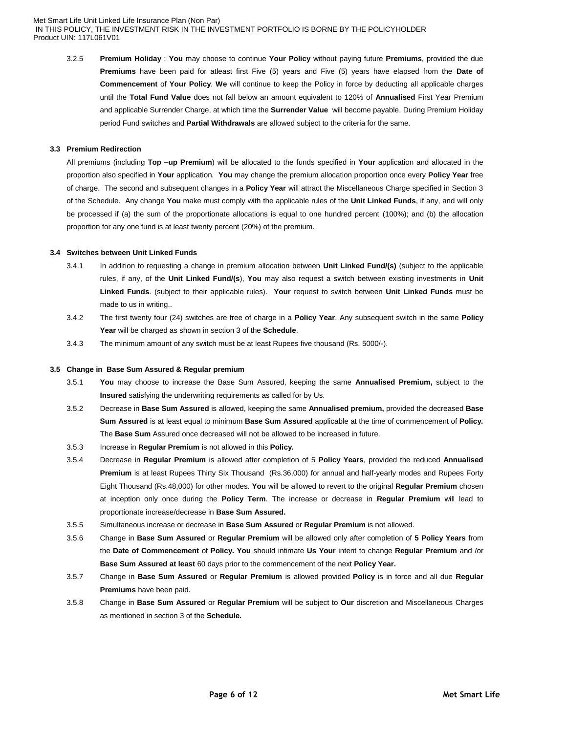3.2.5 **Premium Holiday** : **You** may choose to continue **Your Policy** without paying future **Premiums**, provided the due **Premiums** have been paid for atleast first Five (5) years and Five (5) years have elapsed from the **Date of Commencement** of **Your Policy**. **We** will continue to keep the Policy in force by deducting all applicable charges until the **Total Fund Value** does not fall below an amount equivalent to 120% of **Annualised** First Year Premium and applicable Surrender Charge, at which time the **Surrender Value** will become payable. During Premium Holiday period Fund switches and **Partial Withdrawals** are allowed subject to the criteria for the same.

## **3.3 Premium Redirection**

All premiums (including **Top –up Premium**) will be allocated to the funds specified in **Your** application and allocated in the proportion also specified in **Your** application. **You** may change the premium allocation proportion once every **Policy Year** free of charge. The second and subsequent changes in a **Policy Year** will attract the Miscellaneous Charge specified in Section 3 of the Schedule. Any change **You** make must comply with the applicable rules of the **Unit Linked Funds**, if any, and will only be processed if (a) the sum of the proportionate allocations is equal to one hundred percent (100%); and (b) the allocation proportion for any one fund is at least twenty percent (20%) of the premium.

## **3.4 Switches between Unit Linked Funds**

- 3.4.1 In addition to requesting a change in premium allocation between **Unit Linked Fund/(s)** (subject to the applicable rules, if any, of the **Unit Linked Fund/(s**), **You** may also request a switch between existing investments in **Unit Linked Funds**. (subject to their applicable rules). **Your** request to switch between **Unit Linked Funds** must be made to us in writing..
- 3.4.2 The first twenty four (24) switches are free of charge in a **Policy Year**. Any subsequent switch in the same **Policy Year** will be charged as shown in section 3 of the **Schedule**.
- 3.4.3 The minimum amount of any switch must be at least Rupees five thousand (Rs. 5000/-).

#### **3.5 Change in Base Sum Assured & Regular premium**

- 3.5.1 **You** may choose to increase the Base Sum Assured, keeping the same **Annualised Premium,** subject to the **Insured** satisfying the underwriting requirements as called for by Us.
- 3.5.2 Decrease in **Base Sum Assured** is allowed, keeping the same **Annualised premium,** provided the decreased **Base Sum Assured** is at least equal to minimum **Base Sum Assured** applicable at the time of commencement of **Policy.**  The **Base Sum** Assured once decreased will not be allowed to be increased in future.
- 3.5.3 Increase in **Regular Premium** is not allowed in this **Policy.**
- 3.5.4 Decrease in **Regular Premium** is allowed after completion of 5 **Policy Years**, provided the reduced **Annualised Premium** is at least Rupees Thirty Six Thousand (Rs.36,000) for annual and half-yearly modes and Rupees Forty Eight Thousand (Rs.48,000) for other modes. **You** will be allowed to revert to the original **Regular Premium** chosen at inception only once during the **Policy Term**. The increase or decrease in **Regular Premium** will lead to proportionate increase/decrease in **Base Sum Assured.**
- 3.5.5 Simultaneous increase or decrease in **Base Sum Assured** or **Regular Premium** is not allowed.
- 3.5.6 Change in **Base Sum Assured** or **Regular Premium** will be allowed only after completion of **5 Policy Years** from the **Date of Commencement** of **Policy. You** should intimate **Us Your** intent to change **Regular Premium** and /or **Base Sum Assured at least** 60 days prior to the commencement of the next **Policy Year.**
- 3.5.7 Change in **Base Sum Assured** or **Regular Premium** is allowed provided **Policy** is in force and all due **Regular Premiums** have been paid.
- 3.5.8 Change in **Base Sum Assured** or **Regular Premium** will be subject to **Our** discretion and Miscellaneous Charges as mentioned in section 3 of the **Schedule.**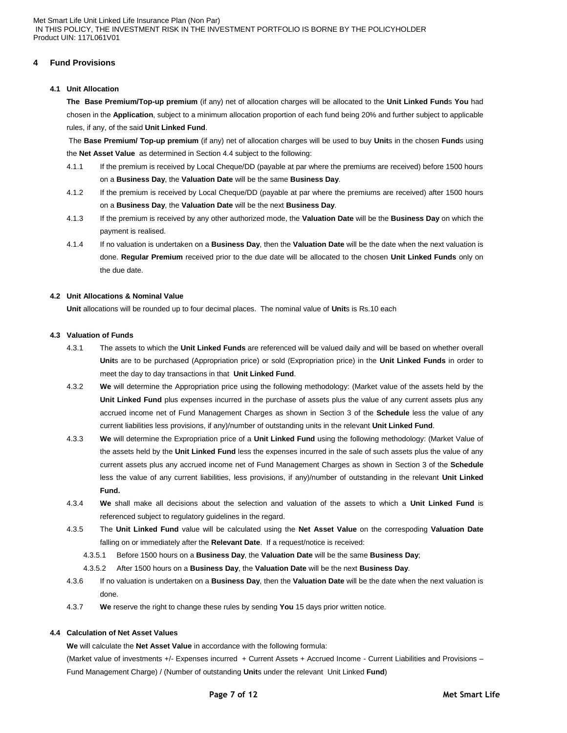# **4 Fund Provisions**

# **4.1 Unit Allocation**

**The Base Premium/Top-up premium** (if any) net of allocation charges will be allocated to the **Unit Linked Fund**s **You** had chosen in the **Application**, subject to a minimum allocation proportion of each fund being 20% and further subject to applicable rules, if any, of the said **Unit Linked Fund**.

The **Base Premium/ Top-up premium** (if any) net of allocation charges will be used to buy **Unit**s in the chosen **Fund**s using the **Net Asset Value** as determined in Section 4.4 subject to the following:

- 4.1.1 If the premium is received by Local Cheque/DD (payable at par where the premiums are received) before 1500 hours on a **Business Day**, the **Valuation Date** will be the same **Business Day**.
- 4.1.2 If the premium is received by Local Cheque/DD (payable at par where the premiums are received) after 1500 hours on a **Business Day**, the **Valuation Date** will be the next **Business Day**.
- 4.1.3 If the premium is received by any other authorized mode, the **Valuation Date** will be the **Business Day** on which the payment is realised.
- 4.1.4 If no valuation is undertaken on a **Business Day**, then the **Valuation Date** will be the date when the next valuation is done. **Regular Premium** received prior to the due date will be allocated to the chosen **Unit Linked Funds** only on the due date.

#### **4.2 Unit Allocations & Nominal Value**

**Unit** allocations will be rounded up to four decimal places. The nominal value of **Unit**s is Rs.10 each

## **4.3 Valuation of Funds**

- 4.3.1 The assets to which the **Unit Linked Funds** are referenced will be valued daily and will be based on whether overall **Unit**s are to be purchased (Appropriation price) or sold (Expropriation price) in the **Unit Linked Funds** in order to meet the day to day transactions in that **Unit Linked Fund**.
- 4.3.2 **We** will determine the Appropriation price using the following methodology: (Market value of the assets held by the **Unit Linked Fund** plus expenses incurred in the purchase of assets plus the value of any current assets plus any accrued income net of Fund Management Charges as shown in Section 3 of the **Schedule** less the value of any current liabilities less provisions, if any)/number of outstanding units in the relevant **Unit Linked Fund**.
- 4.3.3 **We** will determine the Expropriation price of a **Unit Linked Fund** using the following methodology: (Market Value of the assets held by the **Unit Linked Fund** less the expenses incurred in the sale of such assets plus the value of any current assets plus any accrued income net of Fund Management Charges as shown in Section 3 of the **Schedule** less the value of any current liabilities, less provisions, if any)/number of outstanding in the relevant **Unit Linked Fund.**
- 4.3.4 **We** shall make all decisions about the selection and valuation of the assets to which a **Unit Linked Fund** is referenced subject to regulatory guidelines in the regard.
- 4.3.5 The **Unit Linked Fund** value will be calculated using the **Net Asset Value** on the correspoding **Valuation Date** falling on or immediately after the **Relevant Date**. If a request/notice is received:
	- 4.3.5.1 Before 1500 hours on a **Business Day**, the **Valuation Date** will be the same **Business Day**;
	- 4.3.5.2 After 1500 hours on a **Business Day**, the **Valuation Date** will be the next **Business Day**.
- 4.3.6 If no valuation is undertaken on a **Business Day**, then the **Valuation Date** will be the date when the next valuation is done.
- 4.3.7 **We** reserve the right to change these rules by sending **You** 15 days prior written notice.

## **4.4 Calculation of Net Asset Values**

**We** will calculate the **Net Asset Value** in accordance with the following formula:

(Market value of investments +/- Expenses incurred + Current Assets + Accrued Income - Current Liabilities and Provisions – Fund Management Charge) / (Number of outstanding **Unit**s under the relevant Unit Linked **Fund**)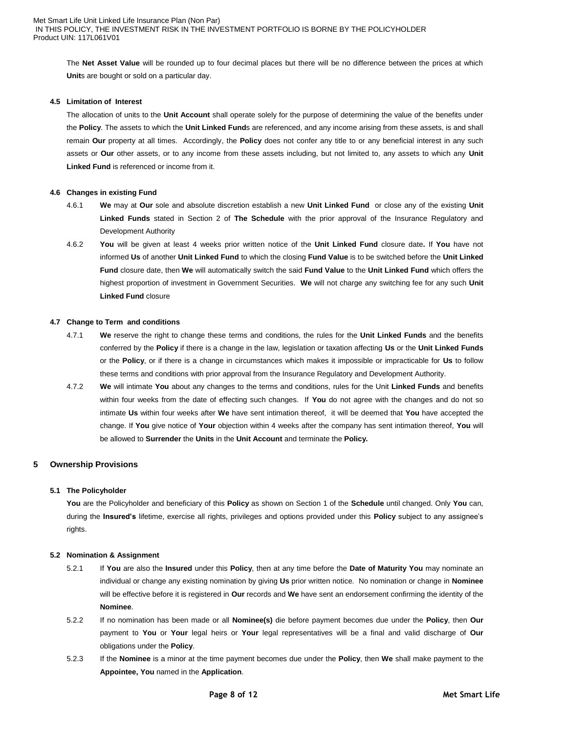The **Net Asset Value** will be rounded up to four decimal places but there will be no difference between the prices at which **Unit**s are bought or sold on a particular day.

### **4.5 Limitation of Interest**

The allocation of units to the **Unit Account** shall operate solely for the purpose of determining the value of the benefits under the **Policy**. The assets to which the **Unit Linked Fund**s are referenced, and any income arising from these assets, is and shall remain **Our** property at all times. Accordingly, the **Policy** does not confer any title to or any beneficial interest in any such assets or **Our** other assets, or to any income from these assets including, but not limited to, any assets to which any **Unit Linked Fund** is referenced or income from it.

## **4.6 Changes in existing Fund**

- 4.6.1 **We** may at **Our** sole and absolute discretion establish a new **Unit Linked Fund** or close any of the existing **Unit Linked Funds** stated in Section 2 of **The Schedule** with the prior approval of the Insurance Regulatory and Development Authority
- 4.6.2 **You** will be given at least 4 weeks prior written notice of the **Unit Linked Fund** closure date**.** If **You** have not informed **Us** of another **Unit Linked Fund** to which the closing **Fund Value** is to be switched before the **Unit Linked Fund** closure date, then **We** will automatically switch the said **Fund Value** to the **Unit Linked Fund** which offers the highest proportion of investment in Government Securities. **We** will not charge any switching fee for any such **Unit Linked Fund** closure

#### **4.7 Change to Term and conditions**

- 4.7.1 **We** reserve the right to change these terms and conditions, the rules for the **Unit Linked Funds** and the benefits conferred by the **Policy** if there is a change in the law, legislation or taxation affecting **Us** or the **Unit Linked Funds** or the **Policy**, or if there is a change in circumstances which makes it impossible or impracticable for **Us** to follow these terms and conditions with prior approval from the Insurance Regulatory and Development Authority.
- 4.7.2 **We** will intimate **You** about any changes to the terms and conditions, rules for the Unit **Linked Funds** and benefits within four weeks from the date of effecting such changes. If **You** do not agree with the changes and do not so intimate **Us** within four weeks after **We** have sent intimation thereof, it will be deemed that **You** have accepted the change. If **You** give notice of **Your** objection within 4 weeks after the company has sent intimation thereof, **You** will be allowed to **Surrender** the **Units** in the **Unit Account** and terminate the **Policy.**

# **5 Ownership Provisions**

## **5.1 The Policyholder**

**You** are the Policyholder and beneficiary of this **Policy** as shown on Section 1 of the **Schedule** until changed. Only **You** can, during the **Insured"s** lifetime, exercise all rights, privileges and options provided under this **Policy** subject to any assignee's rights.

## **5.2 Nomination & Assignment**

- 5.2.1 If **You** are also the **Insured** under this **Policy**, then at any time before the **Date of Maturity You** may nominate an individual or change any existing nomination by giving **Us** prior written notice. No nomination or change in **Nominee** will be effective before it is registered in **Our** records and **We** have sent an endorsement confirming the identity of the **Nominee**.
- 5.2.2 If no nomination has been made or all **Nominee(s)** die before payment becomes due under the **Policy**, then **Our** payment to **You** or **Your** legal heirs or **Your** legal representatives will be a final and valid discharge of **Our** obligations under the **Policy**.
- 5.2.3 If the **Nominee** is a minor at the time payment becomes due under the **Policy**, then **We** shall make payment to the **Appointee, You** named in the **Application**.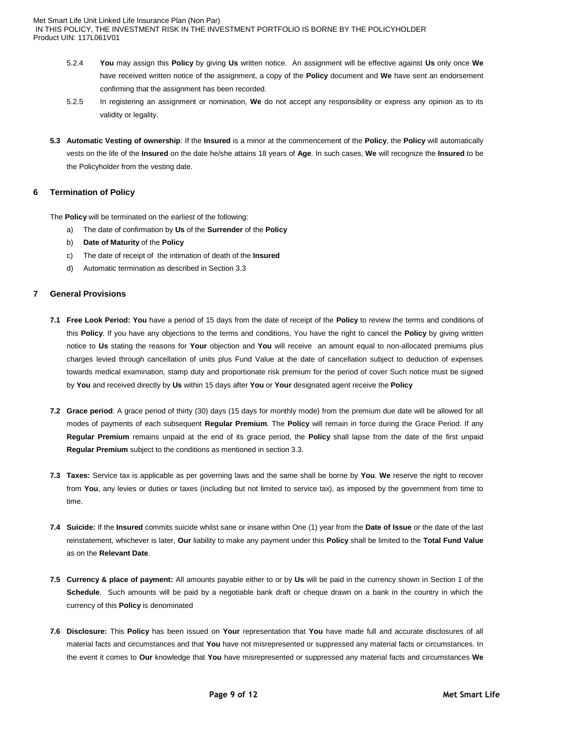- 5.2.4 **You** may assign this **Policy** by giving **Us** written notice. An assignment will be effective against **Us** only once **We** have received written notice of the assignment, a copy of the **Policy** document and **We** have sent an endorsement confirming that the assignment has been recorded.
- 5.2.5 In registering an assignment or nomination, **We** do not accept any responsibility or express any opinion as to its validity or legality.
- **5.3 Automatic Vesting of ownership**: If the **Insured** is a minor at the commencement of the **Policy**, the **Policy** will automatically vests on the life of the **Insured** on the date he/she attains 18 years of **Age**. In such cases, **We** will recognize the **Insured** to be the Policyholder from the vesting date.

# **6 Termination of Policy**

The **Policy** will be terminated on the earliest of the following:

- a) The date of confirmation by **Us** of the **Surrender** of the **Policy**
- b) **Date of Maturity** of the **Policy**
- c) The date of receipt of the intimation of death of the **Insured**
- d) Automatic termination as described in Section 3.3

## **7 General Provisions**

- **7.1 Free Look Period: You** have a period of 15 days from the date of receipt of the **Policy** to review the terms and conditions of this **Policy**. If you have any objections to the terms and conditions, You have the right to cancel the **Policy** by giving written notice to **Us** stating the reasons for **Your** objection and **You** will receive an amount equal to non-allocated premiums plus charges levied through cancellation of units plus Fund Value at the date of cancellation subject to deduction of expenses towards medical examination, stamp duty and proportionate risk premium for the period of cover Such notice must be signed by **You** and received directly by **Us** within 15 days after **You** or **Your** designated agent receive the **Policy**
- **7.2 Grace period**: A grace period of thirty (30) days (15 days for monthly mode) from the premium due date will be allowed for all modes of payments of each subsequent **Regular Premium**. The **Policy** will remain in force during the Grace Period. If any **Regular Premium** remains unpaid at the end of its grace period, the **Policy** shall lapse from the date of the first unpaid **Regular Premium** subject to the conditions as mentioned in section 3.3.
- **7.3 Taxes:** Service tax is applicable as per governing laws and the same shall be borne by **You**. **We** reserve the right to recover from **You**, any levies or duties or taxes (including but not limited to service tax), as imposed by the government from time to time.
- **7.4 Suicide:** If the **Insured** commits suicide whilst sane or insane within One (1) year from the **Date of Issue** or the date of the last reinstatement, whichever is later, **Our** liability to make any payment under this **Policy** shall be limited to the **Total Fund Value**  as on the **Relevant Date**.
- **7.5 Currency & place of payment:** All amounts payable either to or by **Us** will be paid in the currency shown in Section 1 of the **Schedule**. Such amounts will be paid by a negotiable bank draft or cheque drawn on a bank in the country in which the currency of this **Policy** is denominated
- **7.6 Disclosure:** This **Policy** has been issued on **Your** representation that **You** have made full and accurate disclosures of all material facts and circumstances and that **You** have not misrepresented or suppressed any material facts or circumstances. In the event it comes to **Our** knowledge that **You** have misrepresented or suppressed any material facts and circumstances **We**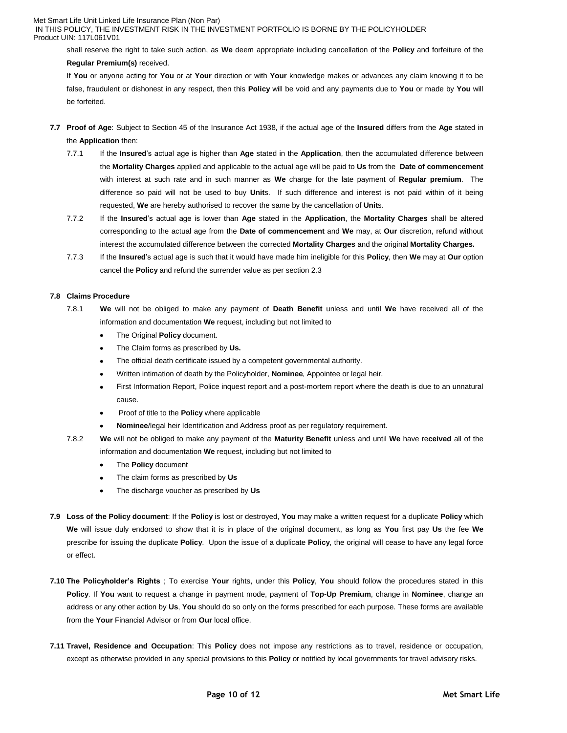### Met Smart Life Unit Linked Life Insurance Plan (Non Par)

IN THIS POLICY, THE INVESTMENT RISK IN THE INVESTMENT PORTFOLIO IS BORNE BY THE POLICYHOLDER Product UIN: 117L061V01

shall reserve the right to take such action, as **We** deem appropriate including cancellation of the **Policy** and forfeiture of the **Regular Premium(s)** received.

If **You** or anyone acting for **You** or at **Your** direction or with **Your** knowledge makes or advances any claim knowing it to be false, fraudulent or dishonest in any respect, then this **Policy** will be void and any payments due to **You** or made by **You** will be forfeited.

- **7.7 Proof of Age**: Subject to Section 45 of the Insurance Act 1938, if the actual age of the **Insured** differs from the **Age** stated in the **Application** then:
	- 7.7.1 If the **Insured**'s actual age is higher than **Age** stated in the **Application**, then the accumulated difference between the **Mortality Charges** applied and applicable to the actual age will be paid to **Us** from the **Date of commencement**  with interest at such rate and in such manner as **We** charge for the late payment of **Regular premium**. The difference so paid will not be used to buy **Unit**s. If such difference and interest is not paid within of it being requested, **We** are hereby authorised to recover the same by the cancellation of **Unit**s.
	- 7.7.2 If the **Insured**'s actual age is lower than **Age** stated in the **Application**, the **Mortality Charges** shall be altered corresponding to the actual age from the **Date of commencement** and **We** may, at **Our** discretion, refund without interest the accumulated difference between the corrected **Mortality Charges** and the original **Mortality Charges.**
	- 7.7.3 If the **Insured**'s actual age is such that it would have made him ineligible for this **Policy**, then **We** may at **Our** option cancel the **Policy** and refund the surrender value as per section 2.3

#### **7.8 Claims Procedure**

- 7.8.1 **We** will not be obliged to make any payment of **Death Benefit** unless and until **We** have received all of the information and documentation **We** request, including but not limited to
	- The Original **Policy** document.  $\bullet$
	- The Claim forms as prescribed by **Us.**  $\bullet$
	- The official death certificate issued by a competent governmental authority.
	- Written intimation of death by the Policyholder, **Nominee**, Appointee or legal heir.
	- First Information Report, Police inquest report and a post-mortem report where the death is due to an unnatural  $\bullet$ cause.
	- Proof of title to the **Policy** where applicable
	- **Nominee**/legal heir Identification and Address proof as per regulatory requirement.
- 7.8.2 **We** will not be obliged to make any payment of the **Maturity Benefit** unless and until **We** have re**ceived** all of the information and documentation **We** request, including but not limited to
	- $\bullet$ The **Policy** document
	- The claim forms as prescribed by **Us**  $\bullet$
	- The discharge voucher as prescribed by **Us**  $\bullet$
- **7.9 Loss of the Policy document**: If the **Policy** is lost or destroyed, **You** may make a written request for a duplicate **Policy** which **We** will issue duly endorsed to show that it is in place of the original document, as long as **You** first pay **Us** the fee **We** prescribe for issuing the duplicate **Policy**. Upon the issue of a duplicate **Policy**, the original will cease to have any legal force or effect.
- **7.10 The Policyholder"s Rights** ; To exercise **Your** rights, under this **Policy**, **You** should follow the procedures stated in this **Policy**. If **You** want to request a change in payment mode, payment of **Top-Up Premium**, change in **Nominee**, change an address or any other action by **Us**, **You** should do so only on the forms prescribed for each purpose. These forms are available from the **Your** Financial Advisor or from **Our** local office.
- **7.11 Travel, Residence and Occupation**: This **Policy** does not impose any restrictions as to travel, residence or occupation, except as otherwise provided in any special provisions to this **Policy** or notified by local governments for travel advisory risks.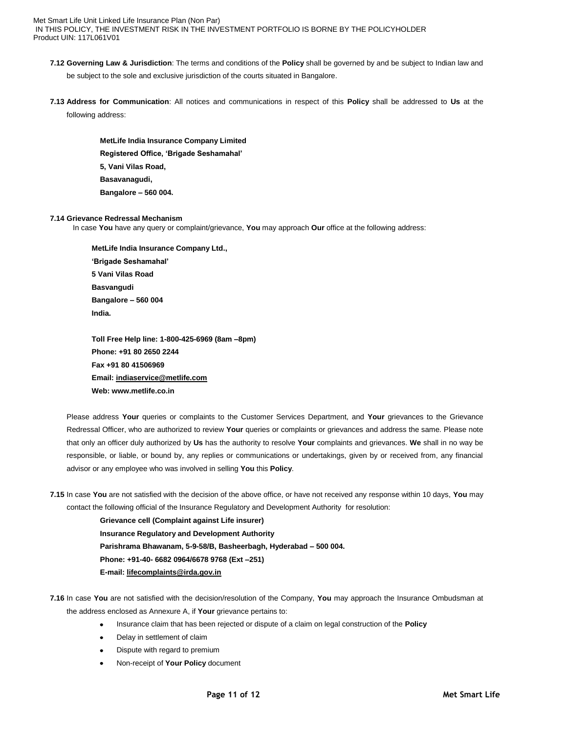- **7.12 Governing Law & Jurisdiction**: The terms and conditions of the **Policy** shall be governed by and be subject to Indian law and be subject to the sole and exclusive jurisdiction of the courts situated in Bangalore.
- **7.13 Address for Communication**: All notices and communications in respect of this **Policy** shall be addressed to **Us** at the following address:

**MetLife India Insurance Company Limited Registered Office, "Brigade Seshamahal" 5, Vani Vilas Road, Basavanagudi, Bangalore – 560 004.**

## **7.14 Grievance Redressal Mechanism**

In case **You** have any query or complaint/grievance, **You** may approach **Our** office at the following address:

**MetLife India Insurance Company Ltd., "Brigade Seshamahal" 5 Vani Vilas Road Basvangudi Bangalore – 560 004 India.** 

**Toll Free Help line: 1-800-425-6969 (8am –8pm) Phone: +91 80 2650 2244 Fax +91 80 41506969 Email[: indiaservice@metlife.com](mailto:indiaservice@metlife.com) Web: www.metlife.co.in** 

Please address **Your** queries or complaints to the Customer Services Department, and **Your** grievances to the Grievance Redressal Officer, who are authorized to review **Your** queries or complaints or grievances and address the same. Please note that only an officer duly authorized by **Us** has the authority to resolve **Your** complaints and grievances. **We** shall in no way be responsible, or liable, or bound by, any replies or communications or undertakings, given by or received from, any financial advisor or any employee who was involved in selling **You** this **Policy**.

**7.15** In case **You** are not satisfied with the decision of the above office, or have not received any response within 10 days, **You** may contact the following official of the Insurance Regulatory and Development Authority for resolution:

> **Grievance cell (Complaint against Life insurer) Insurance Regulatory and Development Authority Parishrama Bhawanam, 5-9-58/B, Basheerbagh, Hyderabad – 500 004. Phone: +91-40- 6682 0964/6678 9768 (Ext –251) E-mail: [lifecomplaints@irda.gov.in](mailto:lifecomplaints@irda.gov.in)**

- **7.16** In case **You** are not satisfied with the decision/resolution of the Company, **You** may approach the Insurance Ombudsman at the address enclosed as Annexure A, if **Your** grievance pertains to:
	- $\bullet$ Insurance claim that has been rejected or dispute of a claim on legal construction of the **Policy**
	- Delay in settlement of claim
	- Dispute with regard to premium
	- Non-receipt of **Your Policy** document